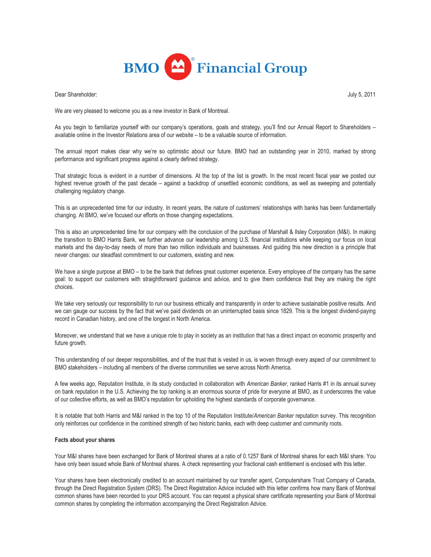

Dear Shareholder: July 5, 2011

We are very pleased to welcome you as a new investor in Bank of Montreal.

As you begin to familiarize yourself with our company's operations, goals and strategy, you'll find our Annual Report to Shareholders – available online in the Investor Relations area of our website – to be a valuable source of information.

The annual report makes clear why we're so optimistic about our future. BMO had an outstanding year in 2010, marked by strong performance and significant progress against a clearly defined strategy.

That strategic focus is evident in a number of dimensions. At the top of the list is growth. In the most recent fiscal year we posted our highest revenue growth of the past decade – against a backdrop of unsettled economic conditions, as well as sweeping and potentially challenging regulatory change.

This is an unprecedented time for our industry. In recent years, the nature of customers' relationships with banks has been fundamentally changing. At BMO, we've focused our efforts on those changing expectations.

This is also an unprecedented time for our company with the conclusion of the purchase of Marshall & Ilsley Corporation (M&I). In making the transition to BMO Harris Bank, we further advance our leadership among U.S. financial institutions while keeping our focus on local markets and the day-to-day needs of more than two million individuals and businesses. And guiding this new direction is a principle that never changes: our steadfast commitment to our customers, existing and new.

We have a single purpose at BMO – to be the bank that defines great customer experience. Every employee of the company has the same goal: to support our customers with straightforward guidance and advice, and to give them confidence that they are making the right choices.

We take very seriously our responsibility to run our business ethically and transparently in order to achieve sustainable positive results. And we can gauge our success by the fact that we've paid dividends on an uninterrupted basis since 1829. This is the longest dividend-paying record in Canadian history, and one of the longest in North America.

Moreover, we understand that we have a unique role to play in society as an institution that has a direct impact on economic prosperity and future growth.

This understanding of our deeper responsibilities, and of the trust that is vested in us, is woven through every aspect of our commitment to BMO stakeholders – including all members of the diverse communities we serve across North America.

A few weeks ago, Reputation Institute, in its study conducted in collaboration with *American Banker*, ranked Harris #1 in its annual survey on bank reputation in the U.S. Achieving the top ranking is an enormous source of pride for everyone at BMO, as it underscores the value of our collective efforts, as well as BMO's reputation for upholding the highest standards of corporate governance.

It is notable that both Harris and M&I ranked in the top 10 of the Reputation Institute/*American Banker* reputation survey. This recognition only reinforces our confidence in the combined strength of two historic banks, each with deep customer and community roots.

## **Facts about your shares**

Your M&I shares have been exchanged for Bank of Montreal shares at a ratio of 0.1257 Bank of Montreal shares for each M&I share. You have only been issued whole Bank of Montreal shares. A check representing your fractional cash entitlement is enclosed with this letter.

Your shares have been electronically credited to an account maintained by our transfer agent, Computershare Trust Company of Canada, through the Direct Registration System (DRS). The Direct Registration Advice included with this letter confirms how many Bank of Montreal common shares have been recorded to your DRS account. You can request a physical share certificate representing your Bank of Montreal common shares by completing the information accompanying the Direct Registration Advice.